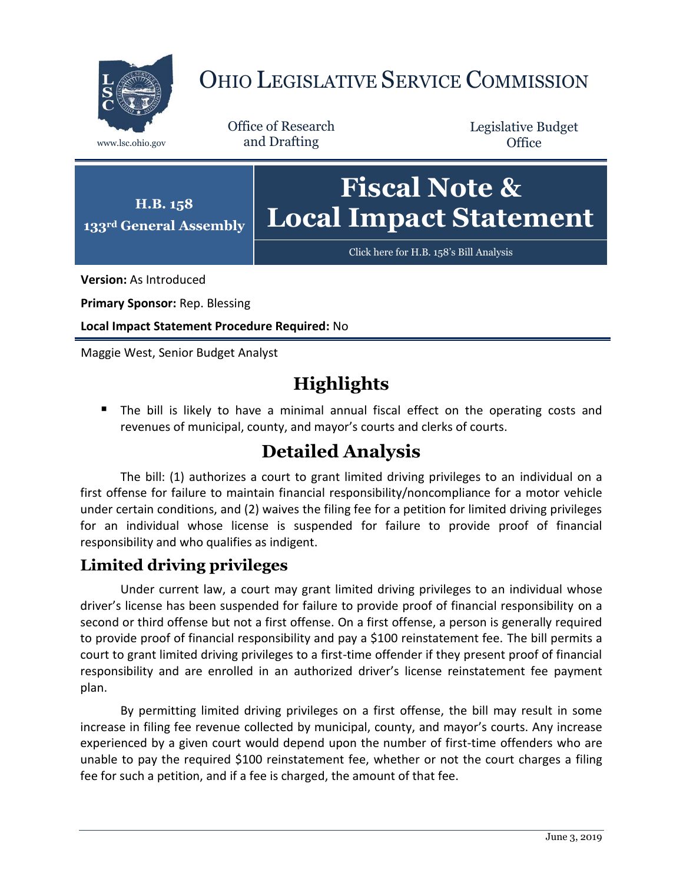

# OHIO LEGISLATIVE SERVICE COMMISSION

Office of Research www.lsc.ohio.gov and Drafting

Legislative Budget **Office** 



[Click here for H.B. 158](https://www.legislature.ohio.gov/legislation/legislation-documents?id=GA133-HB-158)'s Bill Analysis

**Version:** As Introduced

**Primary Sponsor:** Rep. Blessing

**Local Impact Statement Procedure Required:** No

Maggie West, Senior Budget Analyst

## **Highlights**

 The bill is likely to have a minimal annual fiscal effect on the operating costs and revenues of municipal, county, and mayor's courts and clerks of courts.

## **Detailed Analysis**

The bill: (1) authorizes a court to grant limited driving privileges to an individual on a first offense for failure to maintain financial responsibility/noncompliance for a motor vehicle under certain conditions, and (2) waives the filing fee for a petition for limited driving privileges for an individual whose license is suspended for failure to provide proof of financial responsibility and who qualifies as indigent.

### **Limited driving privileges**

Under current law, a court may grant limited driving privileges to an individual whose driver's license has been suspended for failure to provide proof of financial responsibility on a second or third offense but not a first offense. On a first offense, a person is generally required to provide proof of financial responsibility and pay a \$100 reinstatement fee. The bill permits a court to grant limited driving privileges to a first-time offender if they present proof of financial responsibility and are enrolled in an authorized driver's license reinstatement fee payment plan.

By permitting limited driving privileges on a first offense, the bill may result in some increase in filing fee revenue collected by municipal, county, and mayor's courts. Any increase experienced by a given court would depend upon the number of first-time offenders who are unable to pay the required \$100 reinstatement fee, whether or not the court charges a filing fee for such a petition, and if a fee is charged, the amount of that fee.